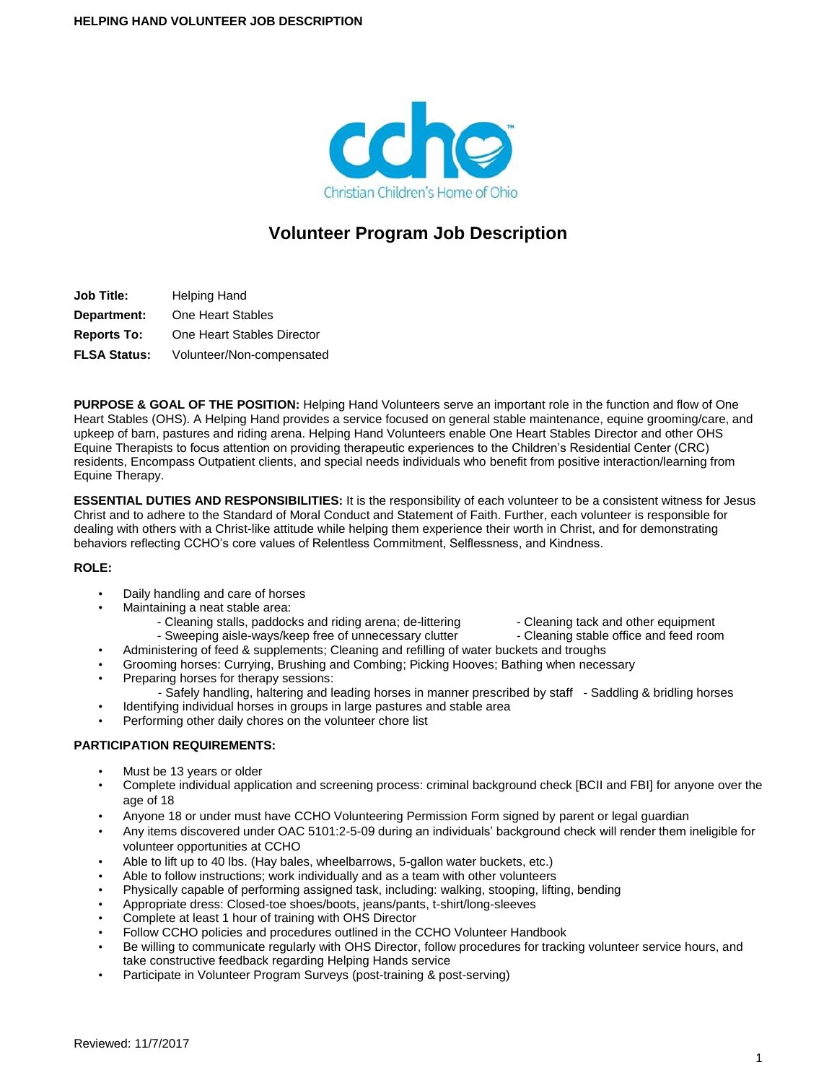

# **Volunteer Program Job Description**

**Job Title:** Helping Hand **Department:** One Heart Stables **Reports To:** One Heart Stables Director **FLSA Status:** Volunteer/Non-compensated

**PURPOSE & GOAL OF THE POSITION:** Helping Hand Volunteers serve an important role in the function and flow of One Heart Stables (OHS). A Helping Hand provides a service focused on general stable maintenance, equine grooming/care, and upkeep of barn, pastures and riding arena. Helping Hand Volunteers enable One Heart Stables Director and other OHS Equine Therapists to focus attention on providing therapeutic experiences to the Children's Residential Center (CRC) residents, Encompass Outpatient clients, and special needs individuals who benefit from positive interaction/learning from Equine Therapy.

**ESSENTIAL DUTIES AND RESPONSIBILITIES:** It is the responsibility of each volunteer to be a consistent witness for Jesus Christ and to adhere to the Standard of Moral Conduct and Statement of Faith. Further, each volunteer is responsible for dealing with others with a Christ-like attitude while helping them experience their worth in Christ, and for demonstrating behaviors reflecting CCHO's core values of Relentless Commitment, Selflessness, and Kindness.

# **ROLE:**

- Daily handling and care of horses
- Maintaining a neat stable area:
	- Cleaning stalls, paddocks and riding arena; de-littering Cleaning tack and other equipment - Sweeping aisle-ways/keep free of unnecessary clutter - Cleaning stable office and feed room
	- Administering of feed & supplements; Cleaning and refilling of water buckets and troughs
- Grooming horses: Currying, Brushing and Combing; Picking Hooves; Bathing when necessary
- Preparing horses for therapy sessions:
	- Safely handling, haltering and leading horses in manner prescribed by staff Saddling & bridling horses
- Identifying individual horses in groups in large pastures and stable area
- Performing other daily chores on the volunteer chore list

# **PARTICIPATION REQUIREMENTS:**

- Must be 13 years or older
- Complete individual application and screening process: criminal background check [BCII and FBI] for anyone over the age of 18
- Anyone 18 or under must have CCHO Volunteering Permission Form signed by parent or legal guardian
- Any items discovered under OAC 5101:2-5-09 during an individuals' background check will render them ineligible for volunteer opportunities at CCHO
- Able to lift up to 40 lbs. (Hay bales, wheelbarrows, 5-gallon water buckets, etc.)
- Able to follow instructions; work individually and as a team with other volunteers
- Physically capable of performing assigned task, including: walking, stooping, lifting, bending
- Appropriate dress: Closed-toe shoes/boots, jeans/pants, t-shirt/long-sleeves
- Complete at least 1 hour of training with OHS Director
- Follow CCHO policies and procedures outlined in the CCHO Volunteer Handbook
- Be willing to communicate regularly with OHS Director, follow procedures for tracking volunteer service hours, and take constructive feedback regarding Helping Hands service
- Participate in Volunteer Program Surveys (post-training & post-serving)